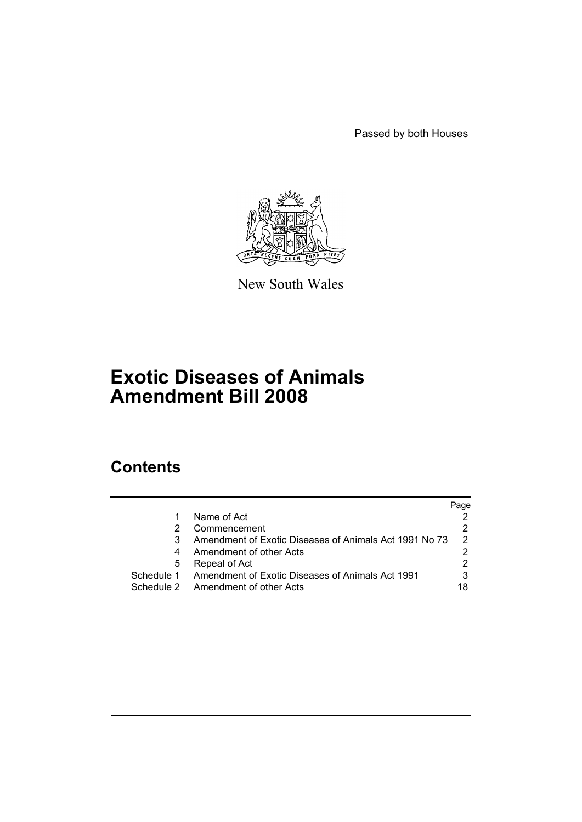Passed by both Houses



New South Wales

# **Exotic Diseases of Animals Amendment Bill 2008**

# **Contents**

|            |                                                        | Page |
|------------|--------------------------------------------------------|------|
|            | Name of Act                                            |      |
|            | Commencement                                           |      |
| 3          | Amendment of Exotic Diseases of Animals Act 1991 No 73 | 2    |
| 4          | Amendment of other Acts                                |      |
| 5          | Repeal of Act                                          |      |
| Schedule 1 | Amendment of Exotic Diseases of Animals Act 1991       | 3    |
|            | Schedule 2 Amendment of other Acts                     | 18   |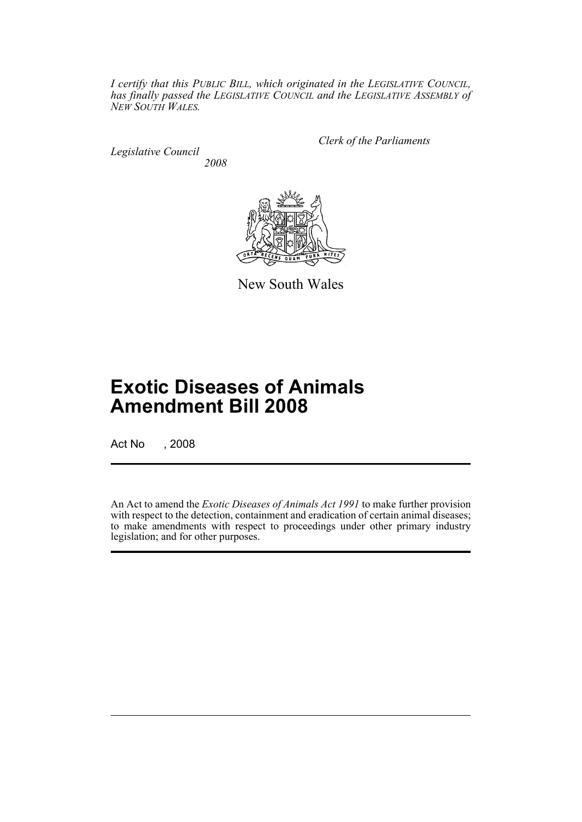*I certify that this PUBLIC BILL, which originated in the LEGISLATIVE COUNCIL, has finally passed the LEGISLATIVE COUNCIL and the LEGISLATIVE ASSEMBLY of NEW SOUTH WALES.*

*Legislative Council 2008* *Clerk of the Parliaments*



New South Wales

# **Exotic Diseases of Animals Amendment Bill 2008**

Act No , 2008

An Act to amend the *Exotic Diseases of Animals Act 1991* to make further provision with respect to the detection, containment and eradication of certain animal diseases; to make amendments with respect to proceedings under other primary industry legislation; and for other purposes.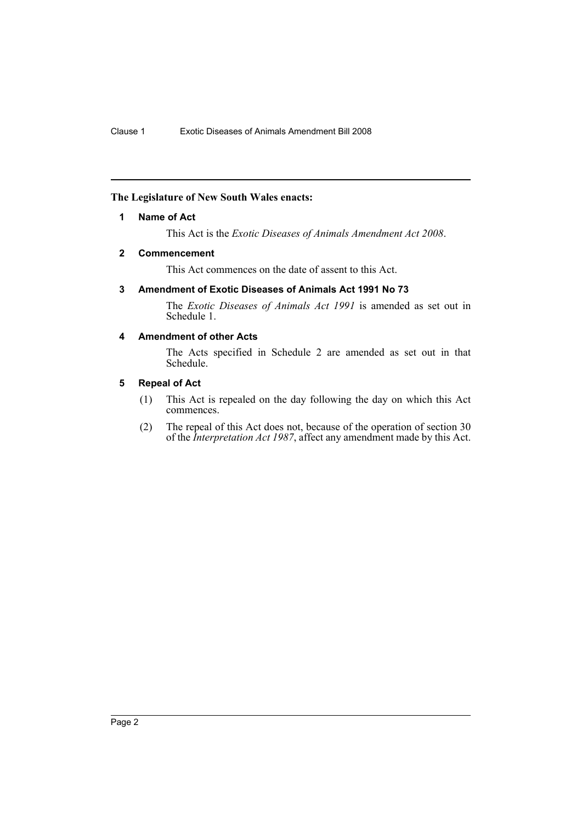# <span id="page-2-0"></span>**The Legislature of New South Wales enacts:**

### **1 Name of Act**

This Act is the *Exotic Diseases of Animals Amendment Act 2008*.

### <span id="page-2-1"></span>**2 Commencement**

This Act commences on the date of assent to this Act.

# <span id="page-2-2"></span>**3 Amendment of Exotic Diseases of Animals Act 1991 No 73**

The *Exotic Diseases of Animals Act 1991* is amended as set out in Schedule 1.

### <span id="page-2-3"></span>**4 Amendment of other Acts**

The Acts specified in Schedule 2 are amended as set out in that Schedule.

# <span id="page-2-4"></span>**5 Repeal of Act**

- (1) This Act is repealed on the day following the day on which this Act commences.
- (2) The repeal of this Act does not, because of the operation of section 30 of the *Interpretation Act 1987*, affect any amendment made by this Act.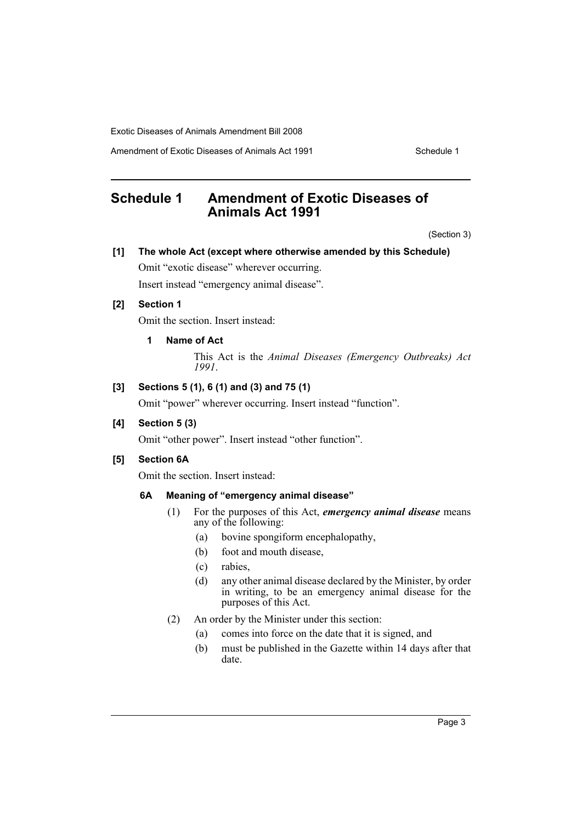Amendment of Exotic Diseases of Animals Act 1991 Schedule 1

# <span id="page-3-0"></span>**Schedule 1 Amendment of Exotic Diseases of Animals Act 1991**

(Section 3)

# **[1] The whole Act (except where otherwise amended by this Schedule)** Omit "exotic disease" wherever occurring.

Insert instead "emergency animal disease".

# **[2] Section 1**

Omit the section. Insert instead:

**1 Name of Act**

This Act is the *Animal Diseases (Emergency Outbreaks) Act 1991*.

# **[3] Sections 5 (1), 6 (1) and (3) and 75 (1)**

Omit "power" wherever occurring. Insert instead "function".

### **[4] Section 5 (3)**

Omit "other power". Insert instead "other function".

# **[5] Section 6A**

Omit the section. Insert instead:

# **6A Meaning of "emergency animal disease"**

- (1) For the purposes of this Act, *emergency animal disease* means any of the following:
	- (a) bovine spongiform encephalopathy,
	- (b) foot and mouth disease,
	- (c) rabies,
	- (d) any other animal disease declared by the Minister, by order in writing, to be an emergency animal disease for the purposes of this Act.
- (2) An order by the Minister under this section:
	- (a) comes into force on the date that it is signed, and
	- (b) must be published in the Gazette within 14 days after that date.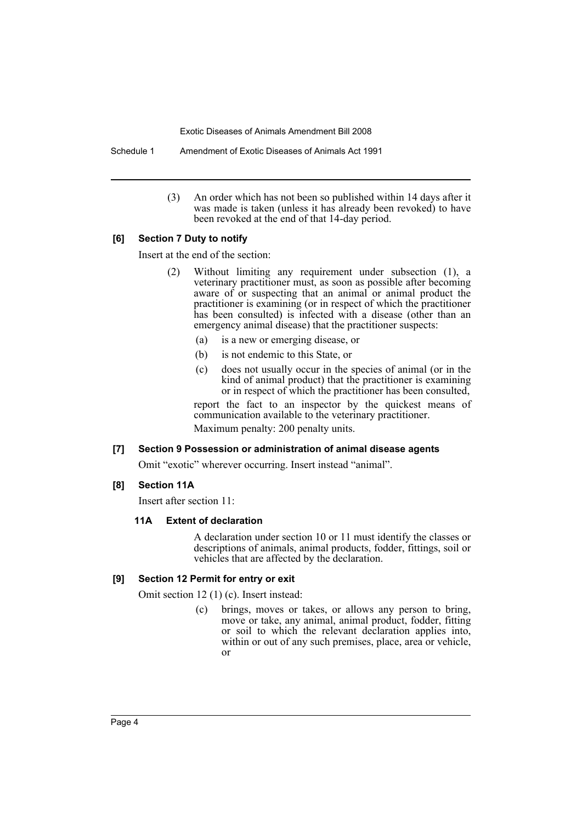Schedule 1 Amendment of Exotic Diseases of Animals Act 1991

(3) An order which has not been so published within 14 days after it was made is taken (unless it has already been revoked) to have been revoked at the end of that 14-day period.

#### **[6] Section 7 Duty to notify**

Insert at the end of the section:

- (2) Without limiting any requirement under subsection (1), a veterinary practitioner must, as soon as possible after becoming aware of or suspecting that an animal or animal product the practitioner is examining (or in respect of which the practitioner has been consulted) is infected with a disease (other than an emergency animal disease) that the practitioner suspects:
	- (a) is a new or emerging disease, or
	- (b) is not endemic to this State, or
	- (c) does not usually occur in the species of animal (or in the kind of animal product) that the practitioner is examining or in respect of which the practitioner has been consulted,

report the fact to an inspector by the quickest means of communication available to the veterinary practitioner. Maximum penalty: 200 penalty units.

#### **[7] Section 9 Possession or administration of animal disease agents**

Omit "exotic" wherever occurring. Insert instead "animal".

#### **[8] Section 11A**

Insert after section 11:

#### **11A Extent of declaration**

A declaration under section 10 or 11 must identify the classes or descriptions of animals, animal products, fodder, fittings, soil or vehicles that are affected by the declaration.

#### **[9] Section 12 Permit for entry or exit**

Omit section 12 (1) (c). Insert instead:

(c) brings, moves or takes, or allows any person to bring, move or take, any animal, animal product, fodder, fitting or soil to which the relevant declaration applies into, within or out of any such premises, place, area or vehicle, or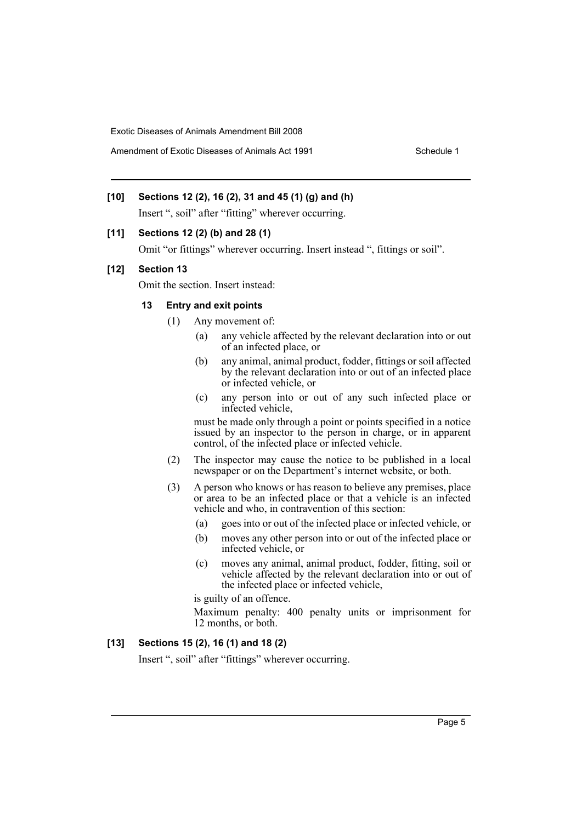Amendment of Exotic Diseases of Animals Act 1991 Schedule 1

# **[10] Sections 12 (2), 16 (2), 31 and 45 (1) (g) and (h)**

Insert ", soil" after "fitting" wherever occurring.

#### **[11] Sections 12 (2) (b) and 28 (1)**

Omit "or fittings" wherever occurring. Insert instead ", fittings or soil".

#### **[12] Section 13**

Omit the section. Insert instead:

# **13 Entry and exit points**

- (1) Any movement of:
	- (a) any vehicle affected by the relevant declaration into or out of an infected place, or
	- (b) any animal, animal product, fodder, fittings or soil affected by the relevant declaration into or out of an infected place or infected vehicle, or
	- (c) any person into or out of any such infected place or infected vehicle,

must be made only through a point or points specified in a notice issued by an inspector to the person in charge, or in apparent control, of the infected place or infected vehicle.

- (2) The inspector may cause the notice to be published in a local newspaper or on the Department's internet website, or both.
- (3) A person who knows or has reason to believe any premises, place or area to be an infected place or that a vehicle is an infected vehicle and who, in contravention of this section:
	- (a) goes into or out of the infected place or infected vehicle, or
	- (b) moves any other person into or out of the infected place or infected vehicle, or
	- (c) moves any animal, animal product, fodder, fitting, soil or vehicle affected by the relevant declaration into or out of the infected place or infected vehicle,

is guilty of an offence.

Maximum penalty: 400 penalty units or imprisonment for 12 months, or both.

# **[13] Sections 15 (2), 16 (1) and 18 (2)**

Insert ", soil" after "fittings" wherever occurring.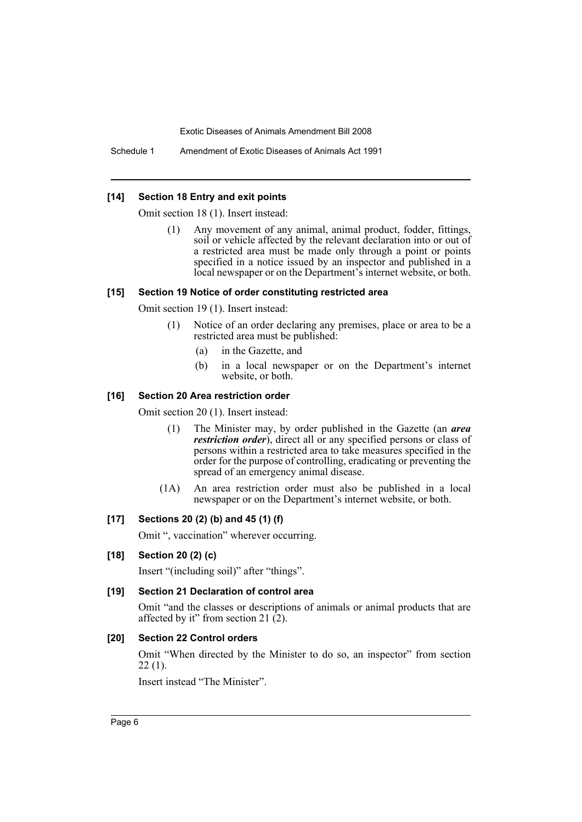Schedule 1 Amendment of Exotic Diseases of Animals Act 1991

#### **[14] Section 18 Entry and exit points**

Omit section 18 (1). Insert instead:

(1) Any movement of any animal, animal product, fodder, fittings, soil or vehicle affected by the relevant declaration into or out of a restricted area must be made only through a point or points specified in a notice issued by an inspector and published in a local newspaper or on the Department's internet website, or both.

#### **[15] Section 19 Notice of order constituting restricted area**

Omit section 19 (1). Insert instead:

- (1) Notice of an order declaring any premises, place or area to be a restricted area must be published:
	- (a) in the Gazette, and
	- (b) in a local newspaper or on the Department's internet website, or both.

#### **[16] Section 20 Area restriction order**

Omit section 20 (1). Insert instead:

- (1) The Minister may, by order published in the Gazette (an *area restriction order*), direct all or any specified persons or class of persons within a restricted area to take measures specified in the order for the purpose of controlling, eradicating or preventing the spread of an emergency animal disease.
- (1A) An area restriction order must also be published in a local newspaper or on the Department's internet website, or both.

#### **[17] Sections 20 (2) (b) and 45 (1) (f)**

Omit ", vaccination" wherever occurring.

#### **[18] Section 20 (2) (c)**

Insert "(including soil)" after "things".

#### **[19] Section 21 Declaration of control area**

Omit "and the classes or descriptions of animals or animal products that are affected by it" from section 21 $(2)$ .

#### **[20] Section 22 Control orders**

Omit "When directed by the Minister to do so, an inspector" from section  $22(1)$ .

Insert instead "The Minister".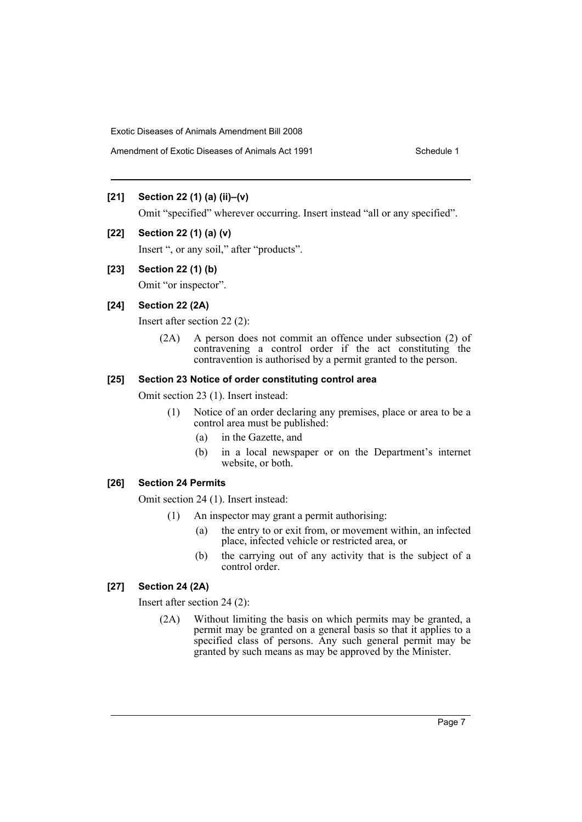# Amendment of Exotic Diseases of Animals Act 1991 Schedule 1

# **[21] Section 22 (1) (a) (ii)–(v)**

Omit "specified" wherever occurring. Insert instead "all or any specified".

# **[22] Section 22 (1) (a) (v)**

Insert ", or any soil," after "products".

**[23] Section 22 (1) (b)**

Omit "or inspector".

# **[24] Section 22 (2A)**

Insert after section 22 (2):

(2A) A person does not commit an offence under subsection (2) of contravening a control order if the act constituting the contravention is authorised by a permit granted to the person.

# **[25] Section 23 Notice of order constituting control area**

Omit section 23 (1). Insert instead:

- (1) Notice of an order declaring any premises, place or area to be a control area must be published:
	- (a) in the Gazette, and
	- (b) in a local newspaper or on the Department's internet website, or both.

# **[26] Section 24 Permits**

Omit section 24 (1). Insert instead:

- (1) An inspector may grant a permit authorising:
	- (a) the entry to or exit from, or movement within, an infected place, infected vehicle or restricted area, or
	- (b) the carrying out of any activity that is the subject of a control order.

# **[27] Section 24 (2A)**

Insert after section 24 (2):

(2A) Without limiting the basis on which permits may be granted, a permit may be granted on a general basis so that it applies to a specified class of persons. Any such general permit may be granted by such means as may be approved by the Minister.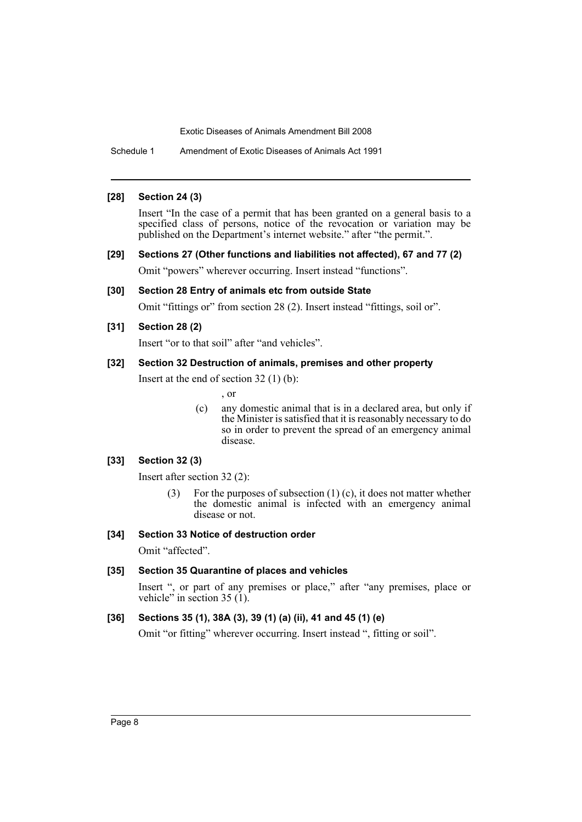Schedule 1 Amendment of Exotic Diseases of Animals Act 1991

#### **[28] Section 24 (3)**

Insert "In the case of a permit that has been granted on a general basis to a specified class of persons, notice of the revocation or variation may be published on the Department's internet website." after "the permit.".

#### **[29] Sections 27 (Other functions and liabilities not affected), 67 and 77 (2)**

Omit "powers" wherever occurring. Insert instead "functions".

#### **[30] Section 28 Entry of animals etc from outside State**

Omit "fittings or" from section 28 (2). Insert instead "fittings, soil or".

#### **[31] Section 28 (2)**

Insert "or to that soil" after "and vehicles".

#### **[32] Section 32 Destruction of animals, premises and other property**

Insert at the end of section 32 (1) (b):

- , or
- (c) any domestic animal that is in a declared area, but only if the Minister is satisfied that it is reasonably necessary to do so in order to prevent the spread of an emergency animal disease.

### **[33] Section 32 (3)**

Insert after section 32 (2):

(3) For the purposes of subsection  $(1)$  (c), it does not matter whether the domestic animal is infected with an emergency animal disease or not.

### **[34] Section 33 Notice of destruction order**

Omit "affected".

#### **[35] Section 35 Quarantine of places and vehicles**

Insert ", or part of any premises or place," after "any premises, place or vehicle" in section 35 (1).

# **[36] Sections 35 (1), 38A (3), 39 (1) (a) (ii), 41 and 45 (1) (e)**

Omit "or fitting" wherever occurring. Insert instead ", fitting or soil".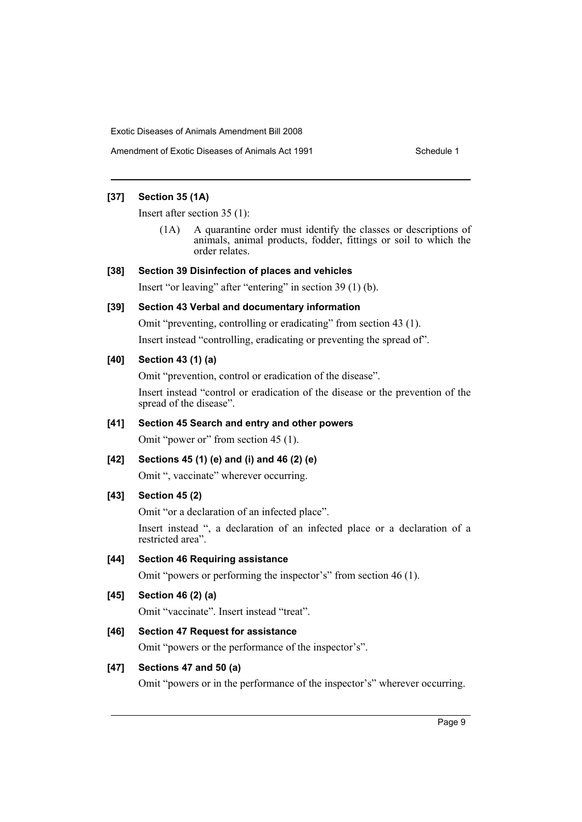Amendment of Exotic Diseases of Animals Act 1991 Schedule 1

### **[37] Section 35 (1A)**

Insert after section 35 (1):

(1A) A quarantine order must identify the classes or descriptions of animals, animal products, fodder, fittings or soil to which the order relates.

#### **[38] Section 39 Disinfection of places and vehicles**

Insert "or leaving" after "entering" in section 39 (1) (b).

#### **[39] Section 43 Verbal and documentary information**

Omit "preventing, controlling or eradicating" from section 43 (1). Insert instead "controlling, eradicating or preventing the spread of".

### **[40] Section 43 (1) (a)**

Omit "prevention, control or eradication of the disease".

Insert instead "control or eradication of the disease or the prevention of the spread of the disease".

# **[41] Section 45 Search and entry and other powers**

Omit "power or" from section 45 (1).

#### **[42] Sections 45 (1) (e) and (i) and 46 (2) (e)**

Omit ", vaccinate" wherever occurring.

# **[43] Section 45 (2)**

Omit "or a declaration of an infected place".

Insert instead ", a declaration of an infected place or a declaration of a restricted area".

#### **[44] Section 46 Requiring assistance**

Omit "powers or performing the inspector's" from section 46 (1).

#### **[45] Section 46 (2) (a)**

Omit "vaccinate". Insert instead "treat".

#### **[46] Section 47 Request for assistance**

Omit "powers or the performance of the inspector's".

# **[47] Sections 47 and 50 (a)**

Omit "powers or in the performance of the inspector's" wherever occurring.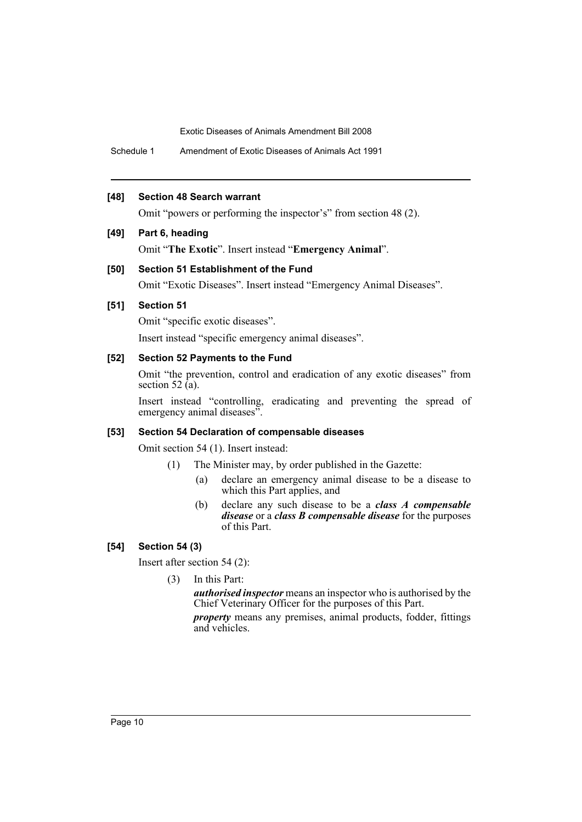Schedule 1 Amendment of Exotic Diseases of Animals Act 1991

#### **[48] Section 48 Search warrant**

Omit "powers or performing the inspector's" from section 48 (2).

#### **[49] Part 6, heading**

Omit "**The Exotic**". Insert instead "**Emergency Animal**".

#### **[50] Section 51 Establishment of the Fund**

Omit "Exotic Diseases". Insert instead "Emergency Animal Diseases".

# **[51] Section 51**

Omit "specific exotic diseases".

Insert instead "specific emergency animal diseases".

# **[52] Section 52 Payments to the Fund**

Omit "the prevention, control and eradication of any exotic diseases" from section 52  $\tilde{a}$ ).

Insert instead "controlling, eradicating and preventing the spread of emergency animal diseases".

# **[53] Section 54 Declaration of compensable diseases**

Omit section 54 (1). Insert instead:

- (1) The Minister may, by order published in the Gazette:
	- (a) declare an emergency animal disease to be a disease to which this Part applies, and
	- (b) declare any such disease to be a *class A compensable disease* or a *class B compensable disease* for the purposes of this Part.

### **[54] Section 54 (3)**

Insert after section 54 (2):

(3) In this Part:

*authorised inspector* means an inspector who is authorised by the Chief Veterinary Officer for the purposes of this Part.

*property* means any premises, animal products, fodder, fittings and vehicles.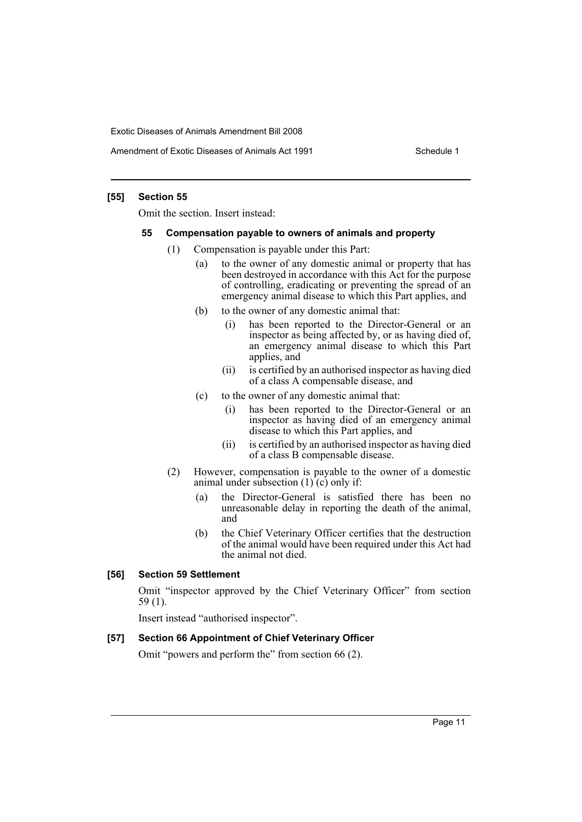Amendment of Exotic Diseases of Animals Act 1991 Schedule 1

### **[55] Section 55**

Omit the section. Insert instead:

#### **55 Compensation payable to owners of animals and property**

- (1) Compensation is payable under this Part:
	- (a) to the owner of any domestic animal or property that has been destroyed in accordance with this Act for the purpose of controlling, eradicating or preventing the spread of an emergency animal disease to which this Part applies, and
	- (b) to the owner of any domestic animal that:
		- (i) has been reported to the Director-General or an inspector as being affected by, or as having died of, an emergency animal disease to which this Part applies, and
		- (ii) is certified by an authorised inspector as having died of a class A compensable disease, and
	- (c) to the owner of any domestic animal that:
		- (i) has been reported to the Director-General or an inspector as having died of an emergency animal disease to which this Part applies, and
		- (ii) is certified by an authorised inspector as having died of a class B compensable disease.
- (2) However, compensation is payable to the owner of a domestic animal under subsection  $(1)$  (c) only if:
	- (a) the Director-General is satisfied there has been no unreasonable delay in reporting the death of the animal, and
	- (b) the Chief Veterinary Officer certifies that the destruction of the animal would have been required under this Act had the animal not died.

#### **[56] Section 59 Settlement**

Omit "inspector approved by the Chief Veterinary Officer" from section 59 (1).

Insert instead "authorised inspector".

#### **[57] Section 66 Appointment of Chief Veterinary Officer**

Omit "powers and perform the" from section 66 (2).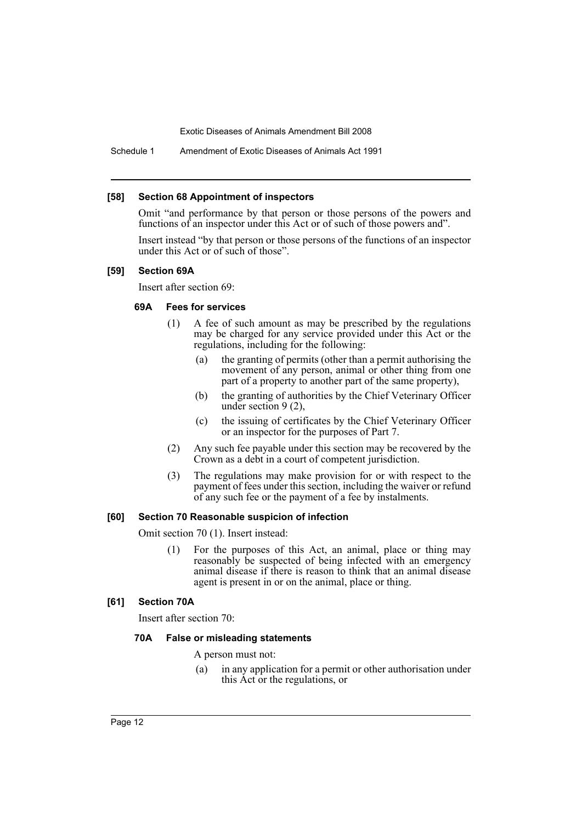Schedule 1 Amendment of Exotic Diseases of Animals Act 1991

#### **[58] Section 68 Appointment of inspectors**

Omit "and performance by that person or those persons of the powers and functions of an inspector under this Act or of such of those powers and".

Insert instead "by that person or those persons of the functions of an inspector under this Act or of such of those".

#### **[59] Section 69A**

Insert after section 69:

#### **69A Fees for services**

- (1) A fee of such amount as may be prescribed by the regulations may be charged for any service provided under this Act or the regulations, including for the following:
	- (a) the granting of permits (other than a permit authorising the movement of any person, animal or other thing from one part of a property to another part of the same property),
	- (b) the granting of authorities by the Chief Veterinary Officer under section 9 (2),
	- (c) the issuing of certificates by the Chief Veterinary Officer or an inspector for the purposes of Part 7.
- (2) Any such fee payable under this section may be recovered by the Crown as a debt in a court of competent jurisdiction.
- (3) The regulations may make provision for or with respect to the payment of fees under this section, including the waiver or refund of any such fee or the payment of a fee by instalments.

#### **[60] Section 70 Reasonable suspicion of infection**

Omit section 70 (1). Insert instead:

(1) For the purposes of this Act, an animal, place or thing may reasonably be suspected of being infected with an emergency animal disease if there is reason to think that an animal disease agent is present in or on the animal, place or thing.

#### **[61] Section 70A**

Insert after section 70:

#### **70A False or misleading statements**

A person must not:

(a) in any application for a permit or other authorisation under this Act or the regulations, or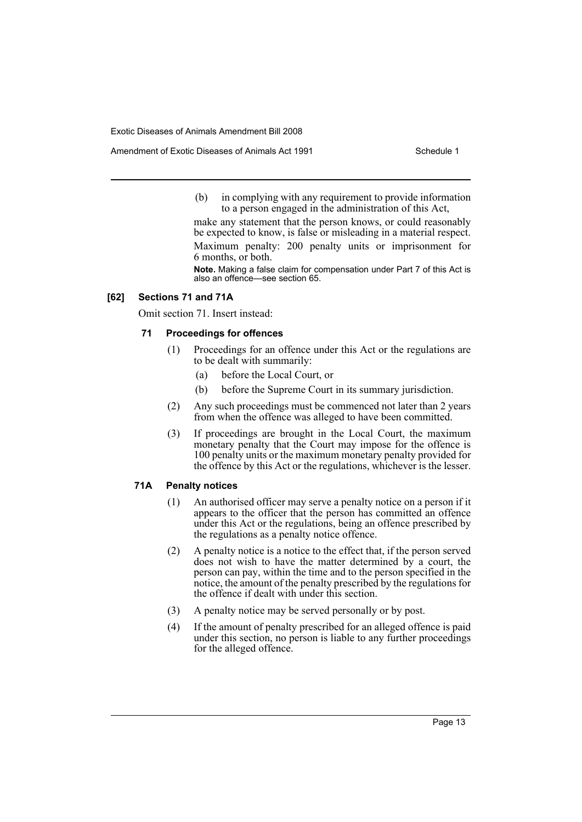Amendment of Exotic Diseases of Animals Act 1991 Schedule 1

(b) in complying with any requirement to provide information to a person engaged in the administration of this Act,

make any statement that the person knows, or could reasonably be expected to know, is false or misleading in a material respect. Maximum penalty: 200 penalty units or imprisonment for 6 months, or both.

**Note.** Making a false claim for compensation under Part 7 of this Act is also an offence—see section 65.

#### **[62] Sections 71 and 71A**

Omit section 71. Insert instead:

#### **71 Proceedings for offences**

- (1) Proceedings for an offence under this Act or the regulations are to be dealt with summarily:
	- (a) before the Local Court, or
	- (b) before the Supreme Court in its summary jurisdiction.
- (2) Any such proceedings must be commenced not later than 2 years from when the offence was alleged to have been committed.
- (3) If proceedings are brought in the Local Court, the maximum monetary penalty that the Court may impose for the offence is 100 penalty units or the maximum monetary penalty provided for the offence by this Act or the regulations, whichever is the lesser.

# **71A Penalty notices**

- (1) An authorised officer may serve a penalty notice on a person if it appears to the officer that the person has committed an offence under this Act or the regulations, being an offence prescribed by the regulations as a penalty notice offence.
- (2) A penalty notice is a notice to the effect that, if the person served does not wish to have the matter determined by a court, the person can pay, within the time and to the person specified in the notice, the amount of the penalty prescribed by the regulations for the offence if dealt with under this section.
- (3) A penalty notice may be served personally or by post.
- (4) If the amount of penalty prescribed for an alleged offence is paid under this section, no person is liable to any further proceedings for the alleged offence.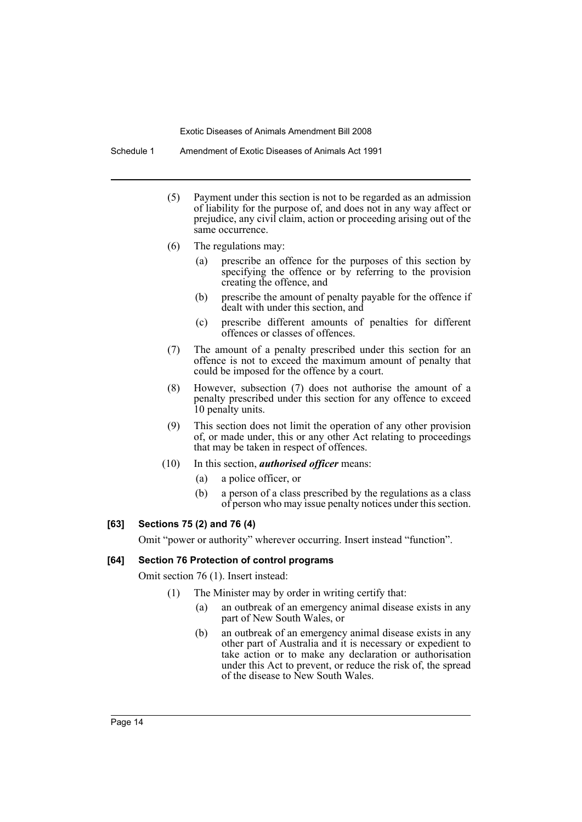Schedule 1 Amendment of Exotic Diseases of Animals Act 1991

- (5) Payment under this section is not to be regarded as an admission of liability for the purpose of, and does not in any way affect or prejudice, any civil claim, action or proceeding arising out of the same occurrence.
- (6) The regulations may:
	- (a) prescribe an offence for the purposes of this section by specifying the offence or by referring to the provision creating the offence, and
	- (b) prescribe the amount of penalty payable for the offence if dealt with under this section, and
	- (c) prescribe different amounts of penalties for different offences or classes of offences.
- (7) The amount of a penalty prescribed under this section for an offence is not to exceed the maximum amount of penalty that could be imposed for the offence by a court.
- (8) However, subsection (7) does not authorise the amount of a penalty prescribed under this section for any offence to exceed 10 penalty units.
- (9) This section does not limit the operation of any other provision of, or made under, this or any other Act relating to proceedings that may be taken in respect of offences.
- (10) In this section, *authorised officer* means:
	- (a) a police officer, or
	- (b) a person of a class prescribed by the regulations as a class of person who may issue penalty notices under this section.

# **[63] Sections 75 (2) and 76 (4)**

Omit "power or authority" wherever occurring. Insert instead "function".

#### **[64] Section 76 Protection of control programs**

Omit section 76 (1). Insert instead:

- (1) The Minister may by order in writing certify that:
	- (a) an outbreak of an emergency animal disease exists in any part of New South Wales, or
	- (b) an outbreak of an emergency animal disease exists in any other part of Australia and it is necessary or expedient to take action or to make any declaration or authorisation under this Act to prevent, or reduce the risk of, the spread of the disease to New South Wales.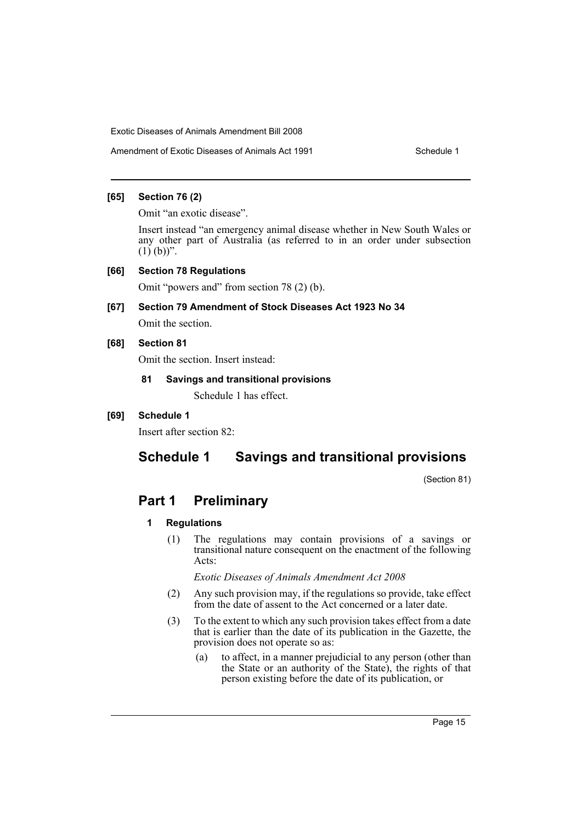Amendment of Exotic Diseases of Animals Act 1991 Schedule 1

# **[65] Section 76 (2)**

Omit "an exotic disease".

Insert instead "an emergency animal disease whether in New South Wales or any other part of Australia (as referred to in an order under subsection  $(1)$   $(b)$ ".

# **[66] Section 78 Regulations**

Omit "powers and" from section 78 (2) (b).

# **[67] Section 79 Amendment of Stock Diseases Act 1923 No 34**

Omit the section.

# **[68] Section 81**

Omit the section. Insert instead:

# **81 Savings and transitional provisions**

Schedule 1 has effect.

**[69] Schedule 1**

Insert after section 82:

# **Schedule 1 Savings and transitional provisions**

(Section 81)

# **Part 1 Preliminary**

# **1 Regulations**

(1) The regulations may contain provisions of a savings or transitional nature consequent on the enactment of the following Acts:

*Exotic Diseases of Animals Amendment Act 2008*

- (2) Any such provision may, if the regulations so provide, take effect from the date of assent to the Act concerned or a later date.
- (3) To the extent to which any such provision takes effect from a date that is earlier than the date of its publication in the Gazette, the provision does not operate so as:
	- (a) to affect, in a manner prejudicial to any person (other than the State or an authority of the State), the rights of that person existing before the date of its publication, or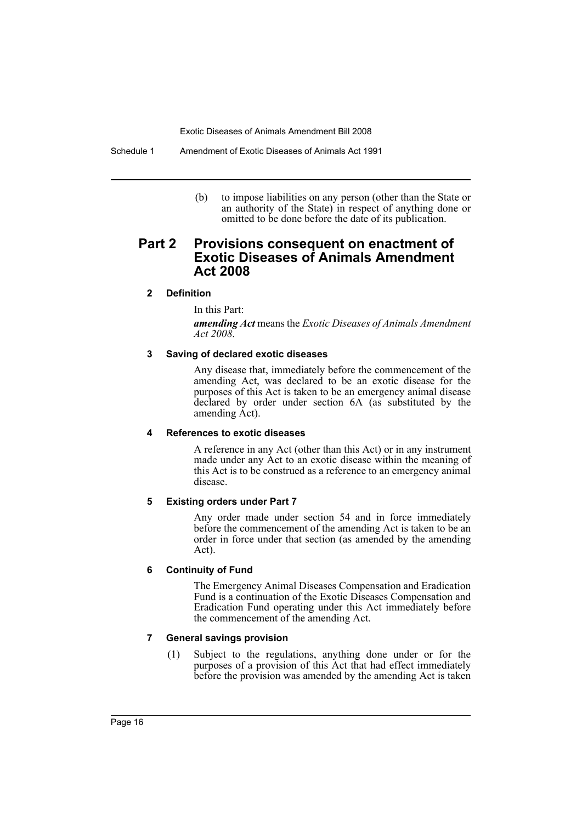Schedule 1 Amendment of Exotic Diseases of Animals Act 1991

(b) to impose liabilities on any person (other than the State or an authority of the State) in respect of anything done or omitted to be done before the date of its publication.

# **Part 2 Provisions consequent on enactment of Exotic Diseases of Animals Amendment Act 2008**

# **2 Definition**

In this Part:

*amending Act* means the *Exotic Diseases of Animals Amendment Act 2008*.

#### **3 Saving of declared exotic diseases**

Any disease that, immediately before the commencement of the amending Act, was declared to be an exotic disease for the purposes of this Act is taken to be an emergency animal disease declared by order under section 6A (as substituted by the amending Act).

#### **4 References to exotic diseases**

A reference in any Act (other than this Act) or in any instrument made under any Act to an exotic disease within the meaning of this Act is to be construed as a reference to an emergency animal disease.

# **5 Existing orders under Part 7**

Any order made under section 54 and in force immediately before the commencement of the amending Act is taken to be an order in force under that section (as amended by the amending Act).

# **6 Continuity of Fund**

The Emergency Animal Diseases Compensation and Eradication Fund is a continuation of the Exotic Diseases Compensation and Eradication Fund operating under this Act immediately before the commencement of the amending Act.

# **7 General savings provision**

(1) Subject to the regulations, anything done under or for the purposes of a provision of this Act that had effect immediately before the provision was amended by the amending Act is taken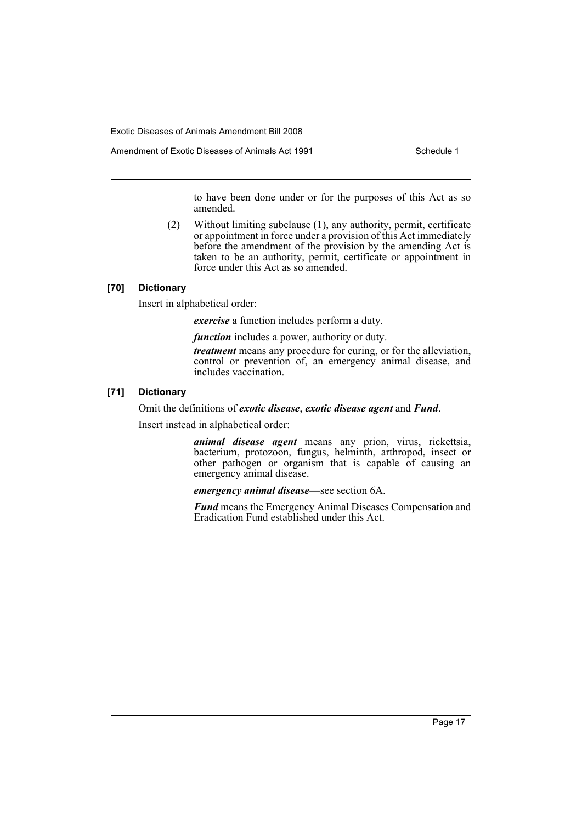Amendment of Exotic Diseases of Animals Act 1991 Schedule 1

to have been done under or for the purposes of this Act as so amended.

(2) Without limiting subclause (1), any authority, permit, certificate or appointment in force under a provision of this Act immediately before the amendment of the provision by the amending Act is taken to be an authority, permit, certificate or appointment in force under this Act as so amended.

# **[70] Dictionary**

Insert in alphabetical order:

*exercise* a function includes perform a duty.

*function* includes a power, authority or duty.

*treatment* means any procedure for curing, or for the alleviation, control or prevention of, an emergency animal disease, and includes vaccination.

### **[71] Dictionary**

#### Omit the definitions of *exotic disease*, *exotic disease agent* and *Fund*.

Insert instead in alphabetical order:

*animal disease agent* means any prion, virus, rickettsia, bacterium, protozoon, fungus, helminth, arthropod, insect or other pathogen or organism that is capable of causing an emergency animal disease.

*emergency animal disease*—see section 6A.

*Fund* means the Emergency Animal Diseases Compensation and Eradication Fund established under this Act.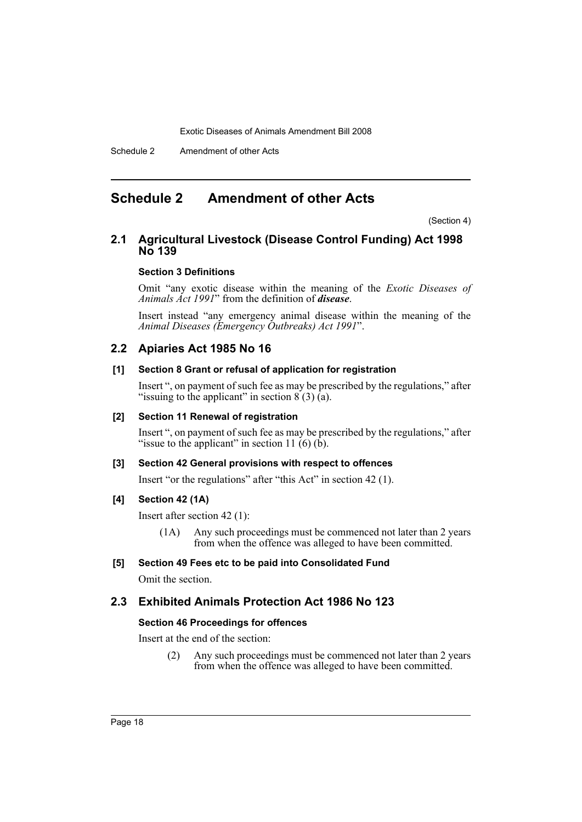Schedule 2 Amendment of other Acts

# <span id="page-18-0"></span>**Schedule 2 Amendment of other Acts**

(Section 4)

# **2.1 Agricultural Livestock (Disease Control Funding) Act 1998 No 139**

#### **Section 3 Definitions**

Omit "any exotic disease within the meaning of the *Exotic Diseases of Animals Act 1991*" from the definition of *disease*.

Insert instead "any emergency animal disease within the meaning of the *Animal Diseases (Emergency Outbreaks) Act 1991*".

# **2.2 Apiaries Act 1985 No 16**

#### **[1] Section 8 Grant or refusal of application for registration**

Insert ", on payment of such fee as may be prescribed by the regulations," after "issuing to the applicant" in section  $8(3)$  (a).

#### **[2] Section 11 Renewal of registration**

Insert ", on payment of such fee as may be prescribed by the regulations," after "issue to the applicant" in section 11  $(6)$   $(b)$ .

#### **[3] Section 42 General provisions with respect to offences**

Insert "or the regulations" after "this Act" in section 42 (1).

### **[4] Section 42 (1A)**

Insert after section 42 (1):

(1A) Any such proceedings must be commenced not later than 2 years from when the offence was alleged to have been committed.

#### **[5] Section 49 Fees etc to be paid into Consolidated Fund**

Omit the section.

# **2.3 Exhibited Animals Protection Act 1986 No 123**

#### **Section 46 Proceedings for offences**

Insert at the end of the section:

(2) Any such proceedings must be commenced not later than 2 years from when the offence was alleged to have been committed.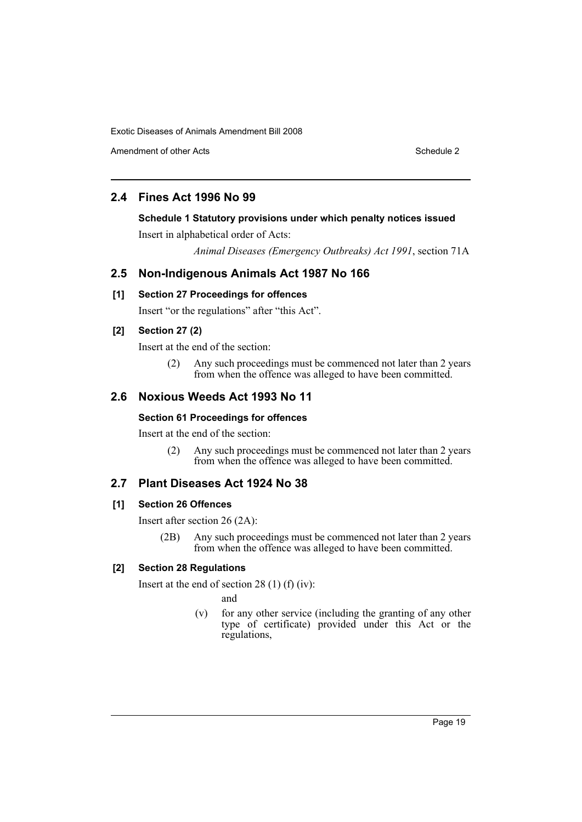Amendment of other Acts **Schedule 2** and the 2 and the 2 and 2 and 2 and 2 and 2 and 2 and 2 and 2 and 2 and 2 and 2 and 2 and 2 and 2 and 2 and 2 and 2 and 2 and 2 and 2 and 2 and 2 and 2 and 2 and 2 and 2 and 2 and 2 and

# **2.4 Fines Act 1996 No 99**

# **Schedule 1 Statutory provisions under which penalty notices issued**

Insert in alphabetical order of Acts:

*Animal Diseases (Emergency Outbreaks) Act 1991*, section 71A

# **2.5 Non-Indigenous Animals Act 1987 No 166**

# **[1] Section 27 Proceedings for offences**

Insert "or the regulations" after "this Act".

# **[2] Section 27 (2)**

Insert at the end of the section:

(2) Any such proceedings must be commenced not later than 2 years from when the offence was alleged to have been committed.

# **2.6 Noxious Weeds Act 1993 No 11**

# **Section 61 Proceedings for offences**

Insert at the end of the section:

(2) Any such proceedings must be commenced not later than 2 years from when the offence was alleged to have been committed.

# **2.7 Plant Diseases Act 1924 No 38**

# **[1] Section 26 Offences**

Insert after section 26 (2A):

(2B) Any such proceedings must be commenced not later than 2 years from when the offence was alleged to have been committed.

# **[2] Section 28 Regulations**

Insert at the end of section 28 (1) (f) (iv):

and

(v) for any other service (including the granting of any other type of certificate) provided under this Act or the regulations,